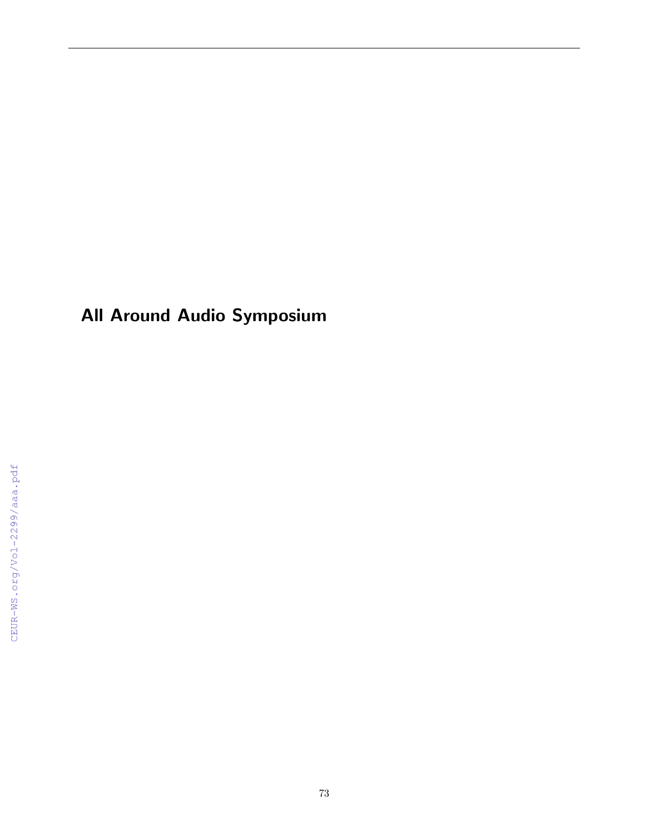All Around Audio Symposium